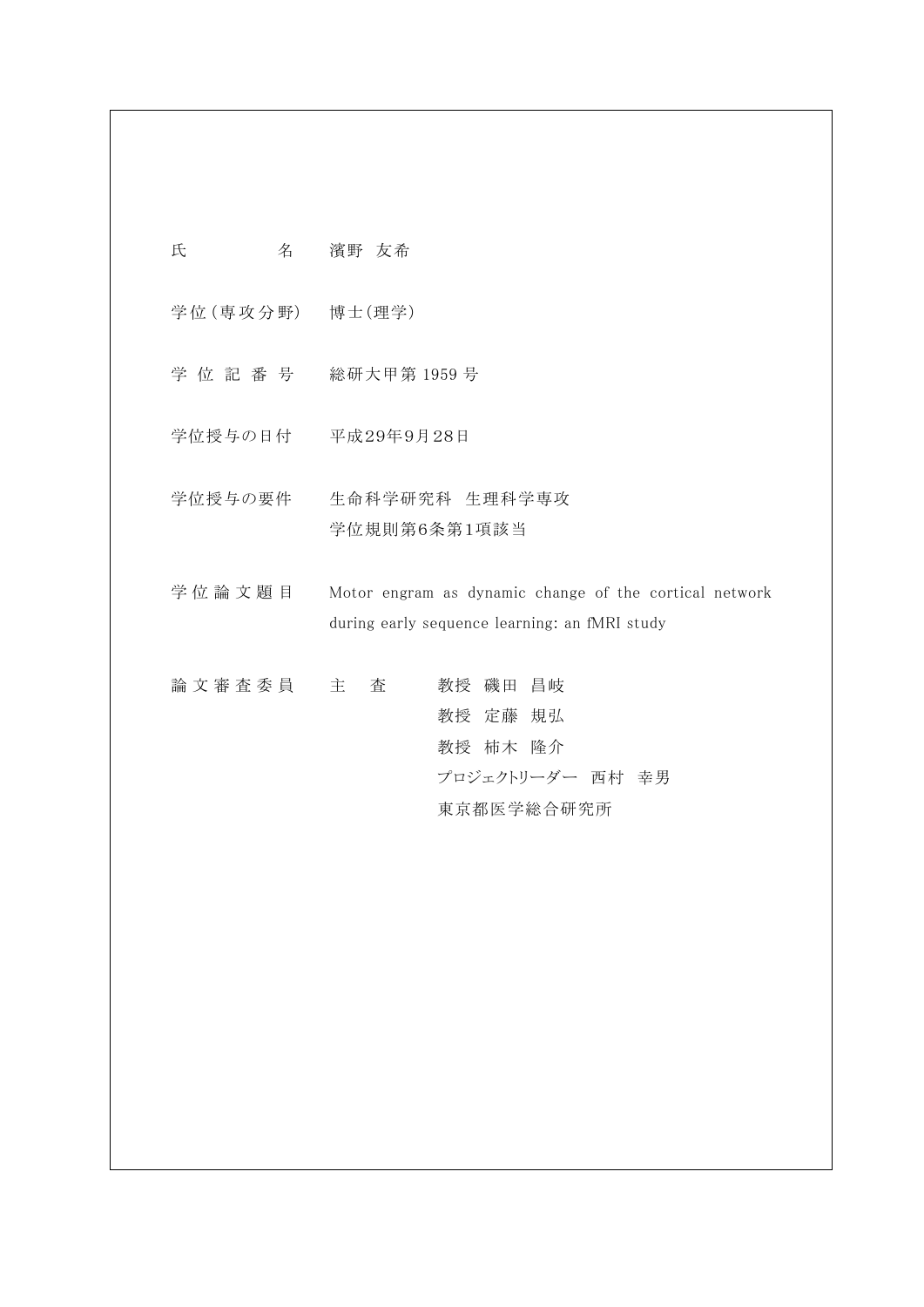氏 名 濱野 友希

学位 (専攻分野) 博士 (理学)

- 学 位 記 番 号 総研大甲第 1959 号
- 学位授与の日付 平成29年9月28日
- 学位授与の要件 生命科学研究科 生理科学専攻 学位規則第6条第1項該当
- 学位論文題目 Motor engram as dynamic change of the cortical network during early sequence learning: an fMRI study
- 論 文 審 査 委 員 主 查 考授 磯田 昌岐 教授 定藤 規弘 教授 柿木 隆介 プロジェクトリーダー 西村 幸男 東京都医学総合研究所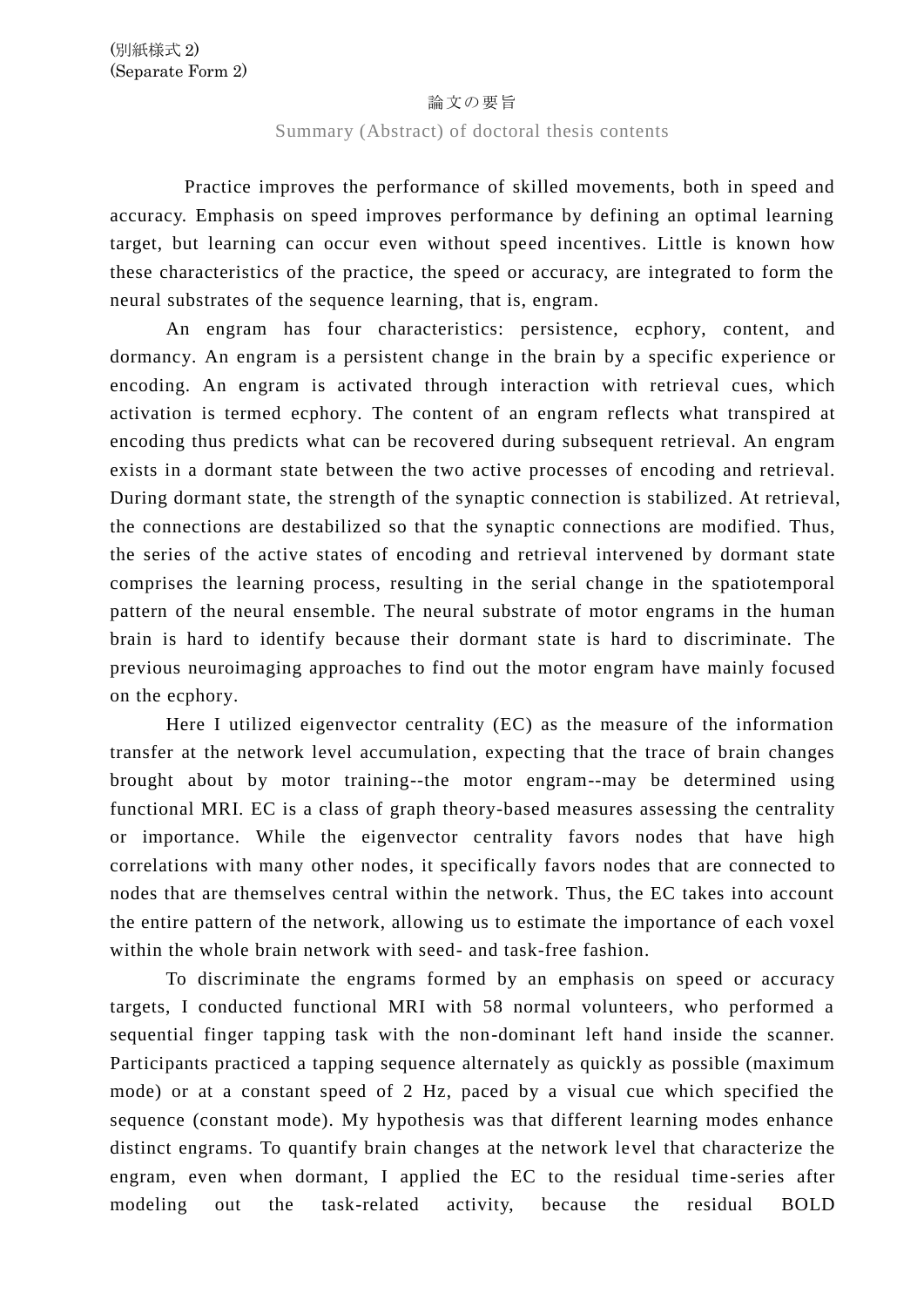## 論文の要旨

## Summary (Abstract) of doctoral thesis contents

Practice improves the performance of skilled movements, both in speed and accuracy. Emphasis on speed improves performance by defining an optimal learning target, but learning can occur even without speed incentives. Little is known how these characteristics of the practice, the speed or accuracy, are integrated to form the neural substrates of the sequence learning, that is, engram.

An engram has four characteristics: persistence, ecphory, content, and dormancy. An engram is a persistent change in the brain by a specific experience or encoding. An engram is activated through interaction with retrieval cues, which activation is termed ecphory. The content of an engram reflects what transpired at encoding thus predicts what can be recovered during subsequent retrieval. An engram exists in a dormant state between the two active processes of encoding and retrieval. During dormant state, the strength of the synaptic connection is stabilized. At retrieval, the connections are destabilized so that the synaptic connections are modified. Thus, the series of the active states of encoding and retrieval intervened by dormant state comprises the learning process, resulting in the serial change in the spatiotemporal pattern of the neural ensemble. The neural substrate of motor engrams in the human brain is hard to identify because their dormant state is hard to discriminate. The previous neuroimaging approaches to find out the motor engram have mainly focused on the ecphory.

Here I utilized eigenvector centrality (EC) as the measure of the information transfer at the network level accumulation, expecting that the trace of brain changes brought about by motor training--the motor engram--may be determined using functional MRI. EC is a class of graph theory-based measures assessing the centrality or importance. While the eigenvector centrality favors nodes that have high correlations with many other nodes, it specifically favors nodes that are connected to nodes that are themselves central within the network. Thus, the EC takes into account the entire pattern of the network, allowing us to estimate the importance of each voxel within the whole brain network with seed- and task-free fashion.

To discriminate the engrams formed by an emphasis on speed or accuracy targets, I conducted functional MRI with 58 normal volunteers, who performed a sequential finger tapping task with the non-dominant left hand inside the scanner. Participants practiced a tapping sequence alternately as quickly as possible (maximum mode) or at a constant speed of 2 Hz, paced by a visual cue which specified the sequence (constant mode). My hypothesis was that different learning modes enhance distinct engrams. To quantify brain changes at the network level that characterize the engram, even when dormant, I applied the EC to the residual time -series after modeling out the task-related activity, because the residual BOLD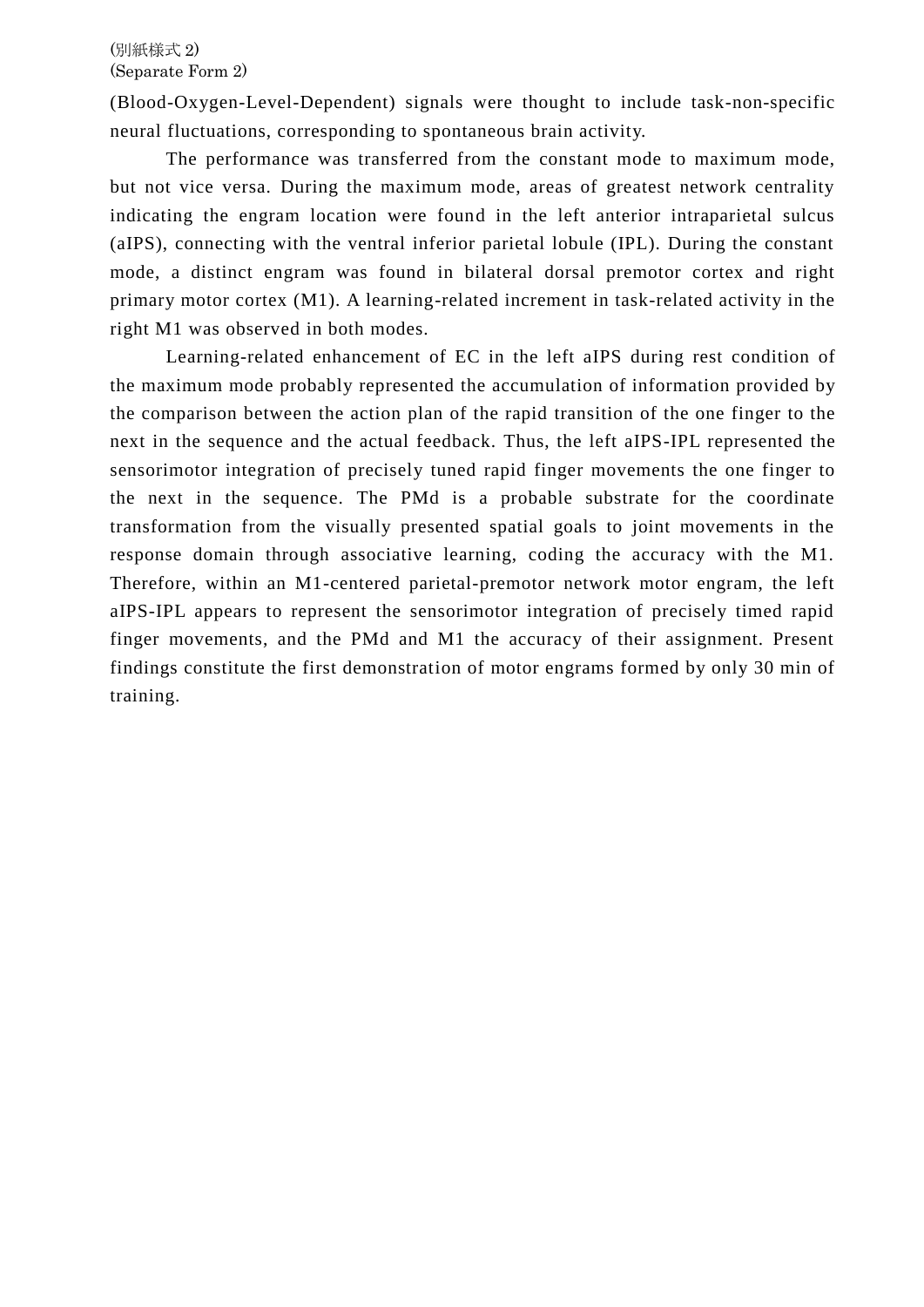(Blood-Oxygen-Level-Dependent) signals were thought to include task-non-specific neural fluctuations, corresponding to spontaneous brain activity.

The performance was transferred from the constant mode to maximum mode, but not vice versa. During the maximum mode, areas of greatest network centrality indicating the engram location were found in the left anterior intraparietal sulcus (aIPS), connecting with the ventral inferior parietal lobule (IPL). During the constant mode, a distinct engram was found in bilateral dorsal premotor cortex and right primary motor cortex (M1). A learning-related increment in task-related activity in the right M1 was observed in both modes.

Learning-related enhancement of EC in the left aIPS during rest condition of the maximum mode probably represented the accumulation of information provided by the comparison between the action plan of the rapid transition of the one finger to the next in the sequence and the actual feedback. Thus, the left aIPS-IPL represented the sensorimotor integration of precisely tuned rapid finger movements the one finger to the next in the sequence. The PMd is a probable substrate for the coordinate transformation from the visually presented spatial goals to joint movements in the response domain through associative learning, coding the accuracy with the M1. Therefore, within an M1-centered parietal-premotor network motor engram, the left aIPS-IPL appears to represent the sensorimotor integration of precisely timed rapid finger movements, and the PMd and M1 the accuracy of their assignment. Present findings constitute the first demonstration of motor engrams formed by only 30 min of training.